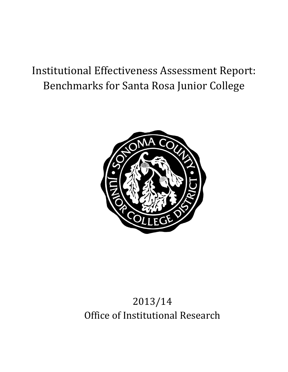# Institutional Effectiveness Assessment Report: Benchmarks for Santa Rosa Junior College



# 2013/14 Office of Institutional Research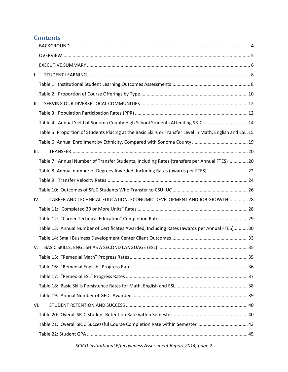# **Contents**

| $\mathsf{L}$ |                                                                                                           |  |
|--------------|-----------------------------------------------------------------------------------------------------------|--|
|              |                                                                                                           |  |
|              |                                                                                                           |  |
| II.          |                                                                                                           |  |
|              |                                                                                                           |  |
|              | Table 4: Annual Yield of Sonoma County High School Students Attending SRJC 14                             |  |
|              | Table 5: Proportion of Students Placing at the Basic Skills or Transfer Level in Math, English and ESL.15 |  |
|              |                                                                                                           |  |
| III.         |                                                                                                           |  |
|              | Table 7: Annual Number of Transfer Students, Including Rates (transfers per Annual FTES)  20              |  |
|              | Table 8: Annual number of Degrees Awarded, Including Rates (awards per FTES)  22                          |  |
|              |                                                                                                           |  |
|              |                                                                                                           |  |
| IV.          | CAREER AND TECHNICAL EDUCATION, ECONOMIC DEVELOPMENT AND JOB GROWTH 28                                    |  |
|              |                                                                                                           |  |
|              |                                                                                                           |  |
|              | Table 13: Annual Number of Certificates Awarded, Including Rates (awards per Annual FTES) 30              |  |
|              |                                                                                                           |  |
| V.           |                                                                                                           |  |
|              |                                                                                                           |  |
|              |                                                                                                           |  |
|              |                                                                                                           |  |
|              |                                                                                                           |  |
|              |                                                                                                           |  |
| VI.          |                                                                                                           |  |
|              |                                                                                                           |  |
|              |                                                                                                           |  |
|              |                                                                                                           |  |
|              |                                                                                                           |  |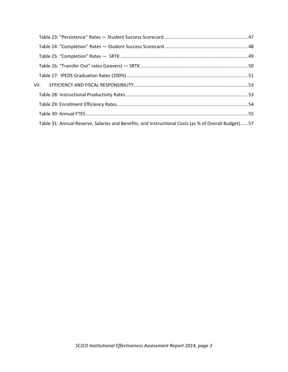| Table 31: Annual Reserve, Salaries and Benefits, and Instructional Costs (as % of Overall Budget) 57 |  |
|------------------------------------------------------------------------------------------------------|--|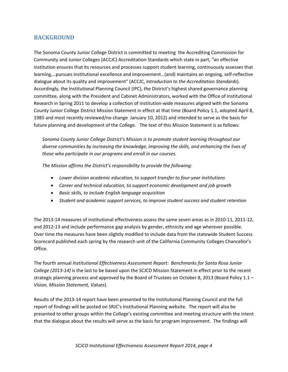### **BACKGROUND**

The Sonoma County Junior College District is committed to meeting the Accrediting Commission for Community and Junior Colleges (ACCJC) Accreditation Standards which state in part, "an effective institution ensures that its resources and processes support student learning, continuously assesses that learning,…pursues institutional excellence and improvement…(and) maintains an ongoing, self‐reflective dialogue about its quality and improvement" (ACCJC, *Introduction to the Accreditation Standards*). Accordingly, the Institutional Planning Council (IPC), the District's highest shared governance planning committee, along with the President and Cabinet Administrators, worked with the Office of Institutional Research in Spring 2011 to develop a collection of institution-wide measures aligned with the Sonoma County Junior College District Mission Statement in effect at that time (Board Policy 1.1, adopted April 8, 1985 and most recently reviewed/no change January 10, 2012) and intended to serve as the basis for future planning and development of the College. The text of this Mission Statement is as follows:

*Sonoma County Junior College District's Mission is to promote student learning throughout our diverse communities by increasing the knowledge, improving the skills, and enhancing the lives of those who participate in our programs and enroll in our courses.*

*The Mission affirms the District's responsibility to provide the following:*

- *Lower division academic education, to support transfer to four‐year institutions*
- *Career and technical education, to support economic development and job growth*
- *Basic skills, to include English language acquisition*
- *Student and academic support services, to improve student success and student retention*

The 2013‐14 measures of institutional effectiveness assess the same seven areas as in 2010‐11, 2011‐12, and 2012-13 and include performance gap analysis by gender, ethnicity and age wherever possible. Over time the measures have been slightly modified to include data from the statewide Student Success Scorecard published each spring by the research unit of the California Community Colleges Chancellor's Office.

The fourth annual *Institutional Effectiveness Assessment Report: Benchmarks for Santa Rosa Junior College (2013‐14)* is the last to be based upon the SCJCD Mission Statement in effect prior to the recent strategic planning process and approved by the Board of Trustees on October 8, 2013 (Board Policy 1.1 – *Vision, Mission Statement, Values*).

Results of the 2013‐14 report have been presented to the Institutional Planning Council and the full report of findings will be posted on SRJC's Institutional Planning website. The report will also be presented to other groups within the College's existing committee and meeting structure with the intent that the dialogue about the results will serve as the basis for program improvement. The findings will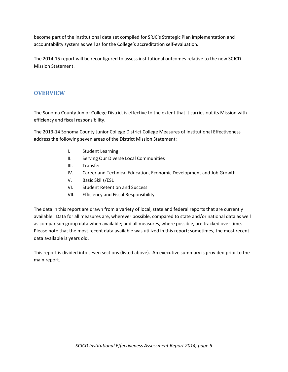become part of the institutional data set compiled for SRJC's Strategic Plan implementation and accountability system as well as for the College's accreditation self‐evaluation.

The 2014‐15 report will be reconfigured to assess institutional outcomes relative to the new SCJCD Mission Statement.

### **OVERVIEW**

The Sonoma County Junior College District is effective to the extent that it carries out its Mission with efficiency and fiscal responsibility.

The 2013‐14 Sonoma County Junior College District College Measures of Institutional Effectiveness address the following seven areas of the District Mission Statement:

- I. Student Learning
- II. Serving Our Diverse Local Communities
- III. Transfer
- IV. Career and Technical Education, Economic Development and Job Growth
- V. Basic Skills/ESL
- VI. Student Retention and Success
- VII. Efficiency and Fiscal Responsibility

The data in this report are drawn from a variety of local, state and federal reports that are currently available. Data for all measures are, wherever possible, compared to state and/or national data as well as comparison group data when available; and all measures, where possible, are tracked over time. Please note that the most recent data available was utilized in this report; sometimes, the most recent data available is years old.

This report is divided into seven sections (listed above). An executive summary is provided prior to the main report.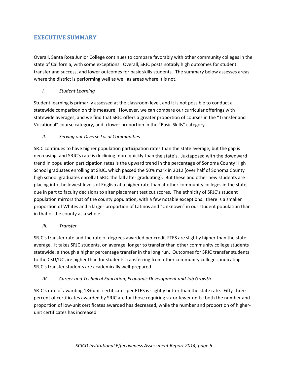### **EXECUTIVE SUMMARY**

Overall, Santa Rosa Junior College continues to compare favorably with other community colleges in the state of California, with some exceptions. Overall, SRJC posts notably high outcomes for student transfer and success, and lower outcomes for basic skills students. The summary below assesses areas where the district is performing well as well as areas where it is not.

#### *I. Student Learning*

Student learning is primarily assessed at the classroom level, and it is not possible to conduct a statewide comparison on this measure. However, we can compare our curricular offerings with statewide averages, and we find that SRJC offers a greater proportion of courses in the "Transfer and Vocational" course category, and a lower proportion in the "Basic Skills" category.

#### *II. Serving our Diverse Local Communities*

SRJC continues to have higher population participation rates than the state average, but the gap is decreasing, and SRJC's rate is declining more quickly than the state's. Juxtaposed with the downward trend in population participation rates is the upward trend in the percentage of Sonoma County High School graduates enrolling at SRJC, which passed the 50% mark in 2012 (over half of Sonoma County high school graduates enroll at SRJC the fall after graduating). But these and other new students are placing into the lowest levels of English at a higher rate than at other community colleges in the state, due in part to faculty decisions to alter placement test cut scores. The ethnicity of SRJC's student population mirrors that of the county population, with a few notable exceptions: there is a smaller proportion of Whites and a larger proportion of Latinos and "Unknown" in our student population than in that of the county as a whole.

#### *III. Transfer*

SRJC's transfer rate and the rate of degrees awarded per credit FTES are slightly higher than the state average. It takes SRJC students, on average, longer to transfer than other community college students statewide, although a higher percentage transfer in the long run. Outcomes for SRJC transfer students to the CSU/UC are higher than for students transferring from other community colleges, indicating SRJC's transfer students are academically well‐prepared.

#### *IV. Career and Technical Education, Economic Development and Job Growth*

SRJC's rate of awarding 18+ unit certificates per FTES is slightly better than the state rate. Fifty-three percent of certificates awarded by SRJC are for those requiring six or fewer units; both the number and proportion of low‐unit certificates awarded has decreased, while the number and proportion of higher‐ unit certificates has increased.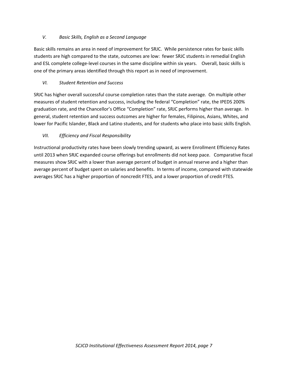### *V. Basic Skills, English as a Second Language*

Basic skills remains an area in need of improvement for SRJC. While persistence rates for basic skills students are high compared to the state, outcomes are low: fewer SRJC students in remedial English and ESL complete college-level courses in the same discipline within six years. Overall, basic skills is one of the primary areas identified through this report as in need of improvement.

### *VI. Student Retention and Success*

SRJC has higher overall successful course completion rates than the state average. On multiple other measures of student retention and success, including the federal "Completion" rate, the IPEDS 200% graduation rate, and the Chancellor's Office "Completion" rate, SRJC performs higher than average. In general, student retention and success outcomes are higher for females, Filipinos, Asians, Whites, and lower for Pacific Islander, Black and Latino students, and for students who place into basic skills English.

### *VII. Efficiency and Fiscal Responsibility*

Instructional productivity rates have been slowly trending upward, as were Enrollment Efficiency Rates until 2013 when SRJC expanded course offerings but enrollments did not keep pace. Comparative fiscal measures show SRJC with a lower than average percent of budget in annual reserve and a higher than average percent of budget spent on salaries and benefits. In terms of income, compared with statewide averages SRJC has a higher proportion of noncredit FTES, and a lower proportion of credit FTES.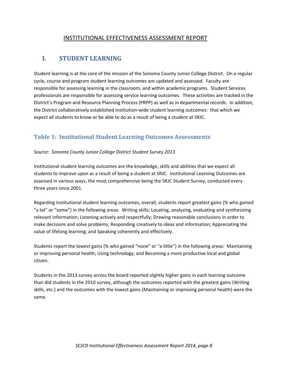## INSTITUTIONAL EFFECTIVENESS ASSESSMENT REPORT

# **I. STUDENT LEARNING**

Student learning is at the core of the mission of the Sonoma County Junior College District. On a regular cycle, course and program student learning outcomes are updated and assessed. Faculty are responsible for assessing learning in the classroom, and within academic programs. Student Services professionals are responsible for assessing service learning outcomes. These activities are tracked in the District's Program and Resource Planning Process (PRPP) as well as in departmental records. In addition, the District collaboratively established institution‐wide student learning outcomes: that which we expect all students to know or be able to do as a result of being a student at SRJC.

### **Table 1: Institutional Student Learning Outcomes Assessments**

#### *Source: Sonoma County Junior College District Student Survey 2013*

Institutional student learning outcomes are the knowledge, skills and abilities that we expect all students to improve upon as a result of being a student at SRJC. Institutional Learning Outcomes are assessed in various ways, the most comprehensive being the SRJC Student Survey, conducted every three years since 2001.

Regarding institutional student learning outcomes, overall, students report greatest gains (% who gained "a lot" or "some") in the following areas: Writing skills; Locating, analyzing, evaluating and synthesizing relevant information; Listening actively and respectfully; Drawing reasonable conclusions in order to make decisions and solve problems; Responding creatively to ideas and information; Appreciating the value of lifelong learning; and Speaking coherently and effectively.

Students report the lowest gains (% who gained "none" or "a little") in the following areas: Maintaining or improving personal health; Using technology; and Becoming a more productive local and global citizen.

Students in the 2013 survey across the board reported slightly higher gains in each learning outcome than did students in the 2010 survey, although the outcomes reported with the greatest gains (Writing skills, etc.) and the outcomes with the lowest gains (Maintaining or improving personal health) were the same.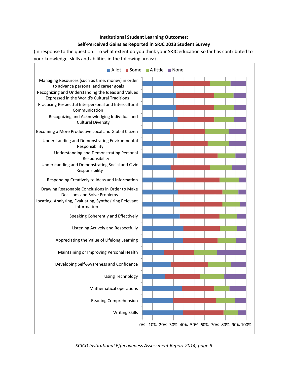### **Institutional Student Learning Outcomes: Self‐Perceived Gains as Reported in SRJC 2013 Student Survey**

(In response to the question: To what extent do you think your SRJC education so far has contributed to your knowledge, skills and abilities in the following areas:)



*SCJCD Institutional Effectiveness Assessment Report 2014, page 9*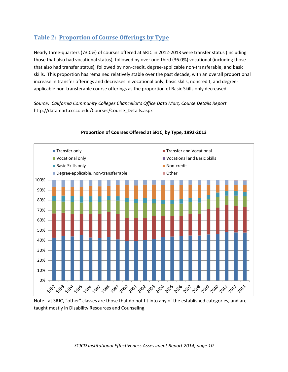# **Table 2: Proportion of Course Offerings by Type**

Nearly three‐quarters (73.0%) of courses offered at SRJC in 2012‐2013 were transfer status (including those that also had vocational status), followed by over one‐third (36.0%) vocational (including those that also had transfer status), followed by non‐credit, degree‐applicable non‐transferable, and basic skills. This proportion has remained relatively stable over the past decade, with an overall proportional increase in transfer offerings and decreases in vocational only, basic skills, noncredit, and degree‐ applicable non‐transferable course offerings as the proportion of Basic Skills only decreased.

*Source: California Community Colleges Chancellor's Office Data Mart, Course Details Report* http://datamart.cccco.edu/Courses/Course\_Details.aspx



### **Proportion of Courses Offered at SRJC, by Type, 1992‐2013**

Note: at SRJC, "other" classes are those that do not fit into any of the established categories, and are taught mostly in Disability Resources and Counseling.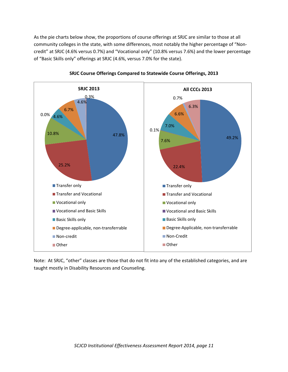As the pie charts below show, the proportions of course offerings at SRJC are similar to those at all community colleges in the state, with some differences, most notably the higher percentage of "Non‐ credit" at SRJC (4.6% versus 0.7%) and "Vocational only" (10.8% versus 7.6%) and the lower percentage of "Basic Skills only" offerings at SRJC (4.6%, versus 7.0% for the state).





Note: At SRJC, "other" classes are those that do not fit into any of the established categories, and are taught mostly in Disability Resources and Counseling.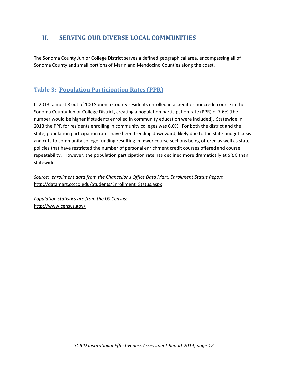# **II. SERVING OUR DIVERSE LOCAL COMMUNITIES**

The Sonoma County Junior College District serves a defined geographical area, encompassing all of Sonoma County and small portions of Marin and Mendocino Counties along the coast.

# **Table 3: Population Participation Rates (PPR)**

In 2013, almost 8 out of 100 Sonoma County residents enrolled in a credit or noncredit course in the Sonoma County Junior College District, creating a population participation rate (PPR) of 7.6% (the number would be higher if students enrolled in community education were included). Statewide in 2013 the PPR for residents enrolling in community colleges was 6.0%. For both the district and the state, population participation rates have been trending downward, likely due to the state budget crisis and cuts to community college funding resulting in fewer course sections being offered as well as state policies that have restricted the number of personal enrichment credit courses offered and course repeatability. However, the population participation rate has declined more dramatically at SRJC than statewide.

*Source: enrollment data from the Chancellor's Office Data Mart, Enrollment Status Report* http://datamart.cccco.edu/Students/Enrollment\_Status.aspx

*Population statistics are from the US Census:* http://www.census.gov/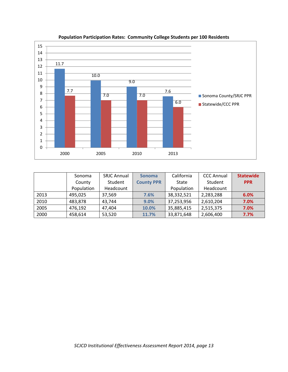

### **Population Participation Rates: Community College Students per 100 Residents**

|      | Sonoma     | <b>SRJC Annual</b> | <b>Sonoma</b>     | California   | <b>CCC Annual</b> | <b>Statewide</b> |
|------|------------|--------------------|-------------------|--------------|-------------------|------------------|
|      | County     | Student            | <b>County PPR</b> | <b>State</b> | Student           | <b>PPR</b>       |
|      | Population | Headcount          |                   | Population   | Headcount         |                  |
| 2013 | 495,025    | 37,569             | 7.6%              | 38,332,521   | 2,283,288         | 6.0%             |
| 2010 | 483,878    | 43,744             | 9.0%              | 37,253,956   | 2,610,204         | 7.0%             |
| 2005 | 476,192    | 47,404             | 10.0%             | 35,885,415   | 2,515,375         | 7.0%             |
| 2000 | 458,614    | 53,520             | 11.7%             | 33,871,648   | 2,606,400         | 7.7%             |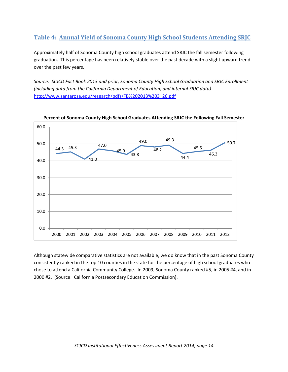# **Table 4: Annual Yield of Sonoma County High School Students Attending SRJC**

Approximately half of Sonoma County high school graduates attend SRJC the fall semester following graduation. This percentage has been relatively stable over the past decade with a slight upward trend over the past few years.

*Source: SCJCD Fact Book 2013 and prior, Sonoma County High School Graduation and SRJC Enrollment (including data from the California Department of Education, and internal SRJC data)* http://www.santarosa.edu/research/pdfs/FB%202013%203\_26.pdf



**Percent of Sonoma County High School Graduates Attending SRJC the Following Fall Semester**

Although statewide comparative statistics are not available, we do know that in the past Sonoma County consistently ranked in the top 10 counties in the state for the percentage of high school graduates who chose to attend a California Community College. In 2009, Sonoma County ranked #5, in 2005 #4, and in 2000 #2. (Source: California Postsecondary Education Commission).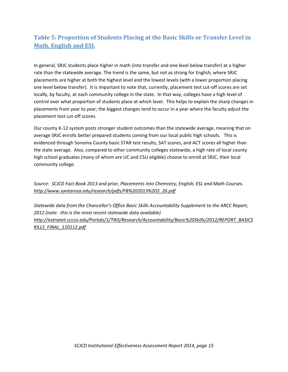# **Table 5: Proportion of Students Placing at the Basic Skills or Transfer Level in Math, English and ESL**

In general, SRJC students place higher in math (into transfer and one level below transfer) at a higher rate than the statewide average. The trend is the same, but not as strong for English, where SRJC placements are higher at both the highest level and the lowest levels (with a lower proportion placing one level below transfer). It is important to note that, currently, placement test cut‐off scores are set locally, by faculty, at each community college in the state. In that way, colleges have a high level of control over what proportion of students place at which level. This helps to explain the sharp changes in placements from year to year; the biggest changes tend to occur in a year where the faculty adjust the placement test cut-off scores.

Our county K‐12 system posts stronger student outcomes than the statewide average, meaning that on average SRJC enrolls better prepared students coming from our local public high schools. This is evidenced through Sonoma County basic STAR test results, SAT scores, and ACT scores all higher than the state average. Also, compared to other community colleges statewide, a high rate of local county high school graduates (many of whom are UC and CSU eligible) choose to enroll at SRJC, their local community college.

*Source: SCJCD Fact Book 2013 and prior, Placements into Chemistry, English, ESL and Math Courses. http://www.santarosa.edu/research/pdfs/FB%202013%203\_26.pdf*

*Statewide data from the Chancellor's Office Basic Skills Accountability Supplement to the ARCC Report, 2012 (note: this is the most recent statewide data available) http://extranet.cccco.edu/Portals/1/TRIS/Research/Accountability/Basic%20Skills/2012/REPORT\_BASICS KILLS\_FINAL\_110112.pdf*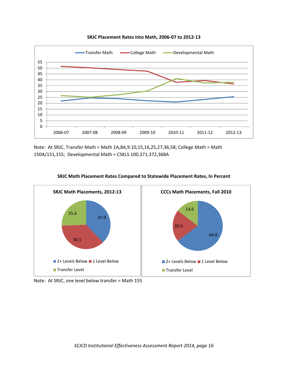

**SRJC Placement Rates into Math, 2006‐07 to 2012‐13**

Note: At SRJC, Transfer Math = Math 1A,8A,9.10,15,16,25,27,36,58; College Math = Math 150A/151,155; Developmental Math = CSKLS 100,371,372,368A



#### **SRJC Math Placement Rates Compared to Statewide Placement Rates, In Percent**

Note: At SRJC, one level below transfer = Math 155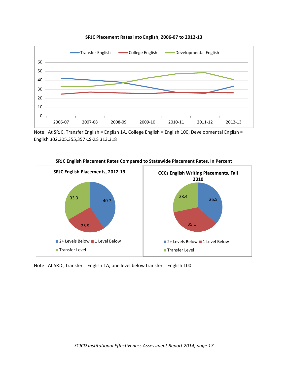

**SRJC Placement Rates into English, 2006‐07 to 2012‐13**

Note: At SRJC, Transfer English = English 1A, College English = English 100, Developmental English = English 302,305,355,357 CSKLS 313,318



#### **SRJC English Placement Rates Compared to Statewide Placement Rates, In Percent**

Note: At SRJC, transfer = English 1A, one level below transfer = English 100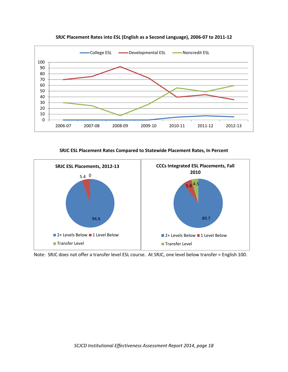

**SRJC Placement Rates into ESL (English as a Second Language), 2006‐07 to 2011‐12**

**SRJC ESL Placement Rates Compared to Statewide Placement Rates, In Percent**



Note: SRJC does not offer a transfer level ESL course. At SRJC, one level below transfer = English 100.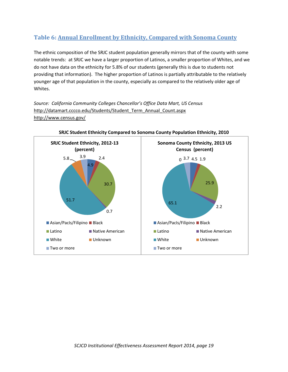# **Table 6: Annual Enrollment by Ethnicity, Compared with Sonoma County**

The ethnic composition of the SRJC student population generally mirrors that of the county with some notable trends: at SRJC we have a larger proportion of Latinos, a smaller proportion of Whites, and we do not have data on the ethnicity for 5.8% of our students (generally this is due to students not providing that information). The higher proportion of Latinos is partially attributable to the relatively younger age of that population in the county, especially as compared to the relatively older age of Whites.

*Source: California Community Colleges Chancellor's Office Data Mart, US Census* http://datamart.cccco.edu/Students/Student\_Term\_Annual\_Count.aspx http://www.census.gov/



**SRJC Student Ethnicity Compared to Sonoma County Population Ethnicity, 2010**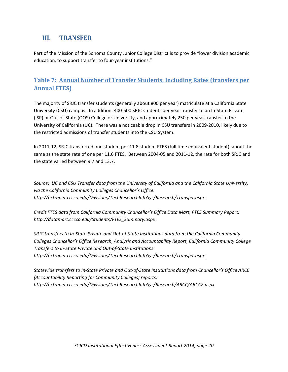# **III. TRANSFER**

Part of the Mission of the Sonoma County Junior College District is to provide "lower division academic education, to support transfer to four‐year institutions."

# **Table 7: Annual Number of Transfer Students, Including Rates (transfers per Annual FTES)**

The majority of SRJC transfer students (generally about 800 per year) matriculate at a California State University (CSU) campus. In addition, 400‐500 SRJC students per year transfer to an In‐State Private (ISP) or Out‐of‐State (OOS) College or University, and approximately 250 per year transfer to the University of California (UC). There was a noticeable drop in CSU transfers in 2009‐2010, likely due to the restricted admissions of transfer students into the CSU System.

In 2011‐12, SRJC transferred one student per 11.8 student FTES (full time equivalent student), about the same as the state rate of one per 11.6 FTES. Between 2004-05 and 2011-12, the rate for both SRJC and the state varied between 9.7 and 13.7.

*Source: UC and CSU Transfer data from the University of California and the California State University, via the California Community Colleges Chancellor's Office: http://extranet.cccco.edu/Divisions/TechResearchInfoSys/Research/Transfer.aspx*

*Credit FTES data from California Community Chancellor's Office Data Mart, FTES Summary Report: http://datamart.cccco.edu/Students/FTES\_Summary.aspx*

SRJC transfers to In-State Private and Out-of-State Institutions data from the California Community *Colleges Chancellor's Office Research, Analysis and Accountability Report, California Community College Transfers to in‐State Private and Out‐of‐State Institutions: http://extranet.cccco.edu/Divisions/TechResearchInfoSys/Research/Transfer.aspx*

Statewide transfers to In-State Private and Out-of-State Institutions data from Chancellor's Office ARCC *(Accountability Reporting for Community Colleges) reports: http://extranet.cccco.edu/Divisions/TechResearchInfoSys/Research/ARCC/ARCC2.aspx*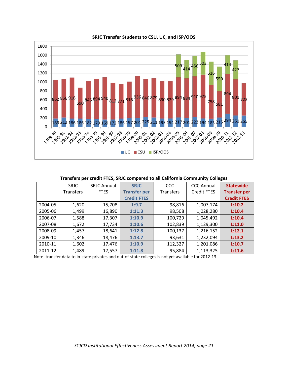

**SRJC Transfer Students to CSU, UC, and ISP/OOS**

**Transfers per credit FTES, SRJC compared to all California Community Colleges**

|         | <b>SRJC</b>      | <b>SRJC Annual</b> | <b>SRJC</b>         | CCC              | <b>CCC Annual</b>  | <b>Statewide</b>    |
|---------|------------------|--------------------|---------------------|------------------|--------------------|---------------------|
|         | <b>Transfers</b> | <b>FTES</b>        | <b>Transfer per</b> | <b>Transfers</b> | <b>Credit FTES</b> | <b>Transfer per</b> |
|         |                  |                    | <b>Credit FTES</b>  |                  |                    | <b>Credit FTES</b>  |
| 2004-05 | 1,620            | 15,708             | 1:9.7               | 98,816           | 1,007,174          | 1:10.2              |
| 2005-06 | 1,499            | 16,890             | 1:11.3              | 98,508           | 1,028,280          | 1:10.4              |
| 2006-07 | 1,588            | 17,307             | 1:10.9              | 100,729          | 1,045,492          | 1:10.4              |
| 2007-08 | 1,672            | 17,734             | 1:10.6              | 102,839          | 1,129,300          | 1:11.0              |
| 2008-09 | 1,457            | 18,641             | 1:12.8              | 100,137          | 1,216,152          | 1:12.1              |
| 2009-10 | 1,346            | 18,476             | 1:13.7              | 93,631           | 1,232,094          | 1:13.2              |
| 2010-11 | 1,602            | 17,476             | 1:10.9              | 112,327          | 1,201,086          | 1:10.7              |
| 2011-12 | 1,489            | 17,557             | 1:11.8              | 95,884           | 1,113,325          | 1:11.6              |

Note: transfer data to in‐state privates and out‐of‐state colleges is not yet available for 2012‐13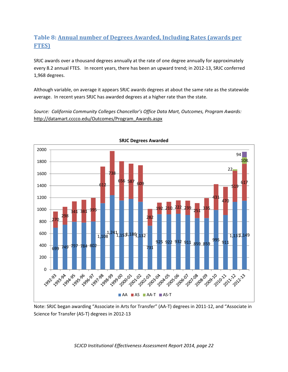# **Table 8: Annual number of Degrees Awarded, Including Rates (awards per FTES)**

SRJC awards over a thousand degrees annually at the rate of one degree annually for approximately every 8.2 annual FTES. In recent years, there has been an upward trend; in 2012‐13, SRJC conferred 1,968 degrees.

Although variable, on average it appears SRJC awards degrees at about the same rate as the statewide average. In recent years SRJC has awarded degrees at a higher rate than the state.

*Source: California Community Colleges Chancellor's Office Data Mart, Outcomes, Program Awards:* http://datamart.cccco.edu/Outcomes/Program\_Awards.aspx



**SRJC Degrees Awarded**

Note: SRJC began awarding "Associate in Arts for Transfer" (AA‐T) degrees in 2011‐12, and "Associate in Science for Transfer (AS‐T) degrees in 2012‐13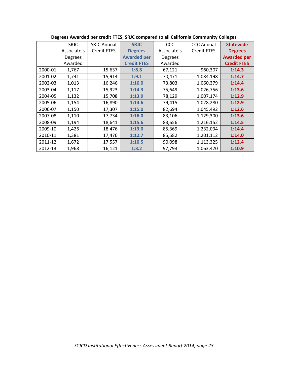|         | <b>SRJC</b>    | <b>SRJC Annual</b> | <b>SRJC</b>        | <b>CCC</b>     | <b>CCC Annual</b>  | <b>Statewide</b>   |
|---------|----------------|--------------------|--------------------|----------------|--------------------|--------------------|
|         | Associate's    | Credit FTES        | <b>Degrees</b>     | Associate's    | <b>Credit FTES</b> | <b>Degrees</b>     |
|         | <b>Degrees</b> |                    | <b>Awarded per</b> | <b>Degrees</b> |                    | <b>Awarded per</b> |
|         | Awarded        |                    | <b>Credit FTES</b> | Awarded        |                    | <b>Credit FTES</b> |
| 2000-01 | 1,767          | 15,637             | 1:8.8              | 67,121         | 960,307            | 1:14.3             |
| 2001-02 | 1,741          | 15,914             | 1:9.1              | 70,471         | 1,034,198          | 1:14.7             |
| 2002-03 | 1,013          | 16,246             | 1:16.0             | 73,803         | 1,060,379          | 1:14.4             |
| 2003-04 | 1,117          | 15,923             | 1:14.3             | 75,649         | 1,026,756          | 1:13.6             |
| 2004-05 | 1,132          | 15,708             | 1:13.9             | 78,129         | 1,007,174          | 1:12.9             |
| 2005-06 | 1,154          | 16,890             | 1:14.6             | 79,415         | 1,028,280          | 1:12.9             |
| 2006-07 | 1,150          | 17,307             | 1:15.0             | 82,694         | 1,045,492          | 1:12.6             |
| 2007-08 | 1,110          | 17,734             | 1:16.0             | 83,106         | 1,129,300          | 1:13.6             |
| 2008-09 | 1,194          | 18,641             | 1:15.6             | 83,656         | 1,216,152          | 1:14.5             |
| 2009-10 | 1,426          | 18,476             | 1:13.0             | 85,369         | 1,232,094          | 1:14.4             |
| 2010-11 | 1,381          | 17,476             | 1:12.7             | 85,582         | 1,201,112          | 1:14.0             |
| 2011-12 | 1,672          | 17,557             | 1:10.5             | 90,098         | 1,113,325          | 1:12.4             |
| 2012-13 | 1,968          | 16,121             | 1:8.2              | 97,793         | 1,063,470          | 1:10.9             |

### **Degrees Awarded per credit FTES, SRJC compared to all California Community Colleges**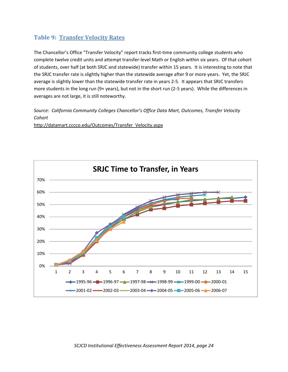## **Table 9: Transfer Velocity Rates**

The Chancellor's Office "Transfer Velocity" report tracks first-time community college students who complete twelve credit units and attempt transfer‐level Math or English within six years. Of that cohort of students, over half (at both SRJC and statewide) transfer within 15 years. It is interesting to note that the SRJC transfer rate is slightly higher than the statewide average after 9 or more years. Yet, the SRJC average is slightly lower than the statewide transfer rate in years 2‐5. It appears that SRJC transfers more students in the long run (9+ years), but not in the short run (2‐5 years). While the differences in averages are not large, it is still noteworthy.

*Source: California Community Colleges Chancellor's Office Data Mart, Outcomes, Transfer Velocity Cohort*

http://datamart.cccco.edu/Outcomes/Transfer\_Velocity.aspx

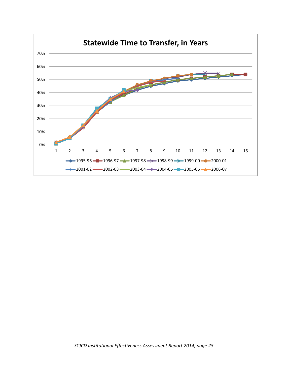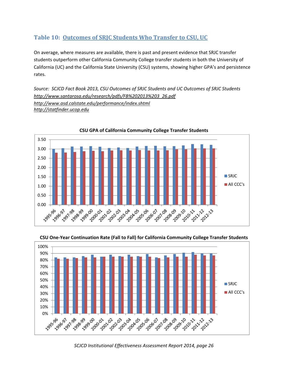## **Table 10: Outcomes of SRJC Students Who Transfer to CSU, UC**

On average, where measures are available, there is past and present evidence that SRJC transfer students outperform other California Community College transfer students in both the University of California (UC) and the California State University (CSU) systems, showing higher GPA's and persistence rates.

*Source: SCJCD Fact Book 2013, CSU Outcomes of SRJC Students and UC Outcomes of SRJC Students http://www.santarosa.edu/research/pdfs/FB%202013%203\_26.pdf http://www.asd.calstate.edu/performance/index.shtml http://statfinder.ucop.edu*



**CSU GPA of California Community College Transfer Students**

**CSU One‐Year Continuation Rate (Fall to Fall) for California Community College Transfer Students**



*SCJCD Institutional Effectiveness Assessment Report 2014, page 26*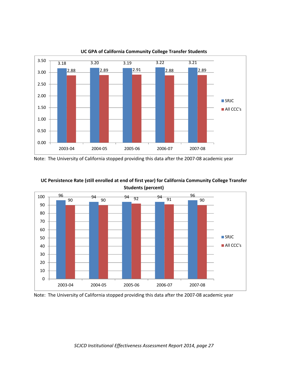

#### **UC GPA of California Community College Transfer Students**



**UC Persistence Rate (still enrolled at end of first year) for California Community College Transfer Students (percent)**

Note: The University of California stopped providing this data after the 2007‐08 academic year

Note: The University of California stopped providing this data after the 2007‐08 academic year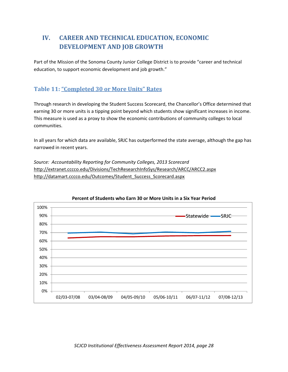# **IV. CAREER AND TECHNICAL EDUCATION, ECONOMIC DEVELOPMENT AND JOB GROWTH**

Part of the Mission of the Sonoma County Junior College District is to provide "career and technical education, to support economic development and job growth."

# **Table 11: "Completed 30 or More Units" Rates**

Through research in developing the Student Success Scorecard, the Chancellor's Office determined that earning 30 or more units is a tipping point beyond which students show significant increases in income. This measure is used as a proxy to show the economic contributions of community colleges to local communities.

In all years for which data are available, SRJC has outperformed the state average, although the gap has narrowed in recent years.

*Source: Accountability Reporting for Community Colleges, 2013 Scorecard* http://extranet.cccco.edu/Divisions/TechResearchInfoSys/Research/ARCC/ARCC2.aspx http://datamart.cccco.edu/Outcomes/Student\_Success\_Scorecard.aspx



#### **Percent of Students who Earn 30 or More Units in a Six Year Period**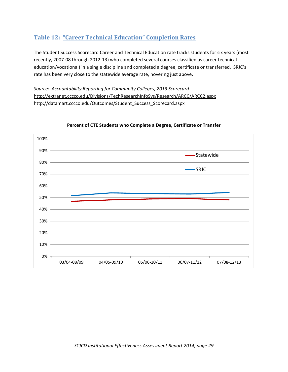# **Table 12: "Career Technical Education" Completion Rates**

The Student Success Scorecard Career and Technical Education rate tracks students for six years (most recently, 2007‐08 through 2012‐13) who completed several courses classified as career technical education/vocational) in a single discipline and completed a degree, certificate or transferred. SRJC's rate has been very close to the statewide average rate, hovering just above.

*Source: Accountability Reporting for Community Colleges, 2013 Scorecard* http://extranet.cccco.edu/Divisions/TechResearchInfoSys/Research/ARCC/ARCC2.aspx http://datamart.cccco.edu/Outcomes/Student\_Success\_Scorecard.aspx



### **Percent of CTE Students who Complete a Degree, Certificate or Transfer**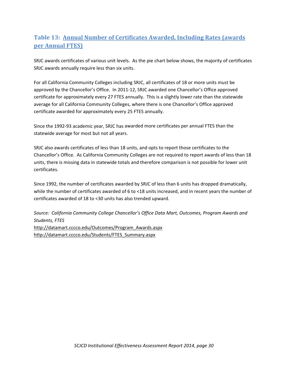# **Table 13: Annual Number of Certificates Awarded, Including Rates (awards per Annual FTES)**

SRJC awards certificates of various unit levels. As the pie chart below shows, the majority of certificates SRJC awards annually require less than six units.

For all California Community Colleges including SRJC, all certificates of 18 or more units must be approved by the Chancellor's Office. In 2011‐12, SRJC awarded one Chancellor's Office approved certificate for approximately every 27 FTES annually. This is a slightly lower rate than the statewide average for all California Community Colleges, where there is one Chancellor's Office approved certificate awarded for approximately every 25 FTES annually.

Since the 1992‐93 academic year, SRJC has awarded more certificates per annual FTES than the statewide average for most but not all years.

SRJC also awards certificates of less than 18 units, and opts to report those certificates to the Chancellor's Office. As California Community Colleges are not required to report awards of less than 18 units, there is missing data in statewide totals and therefore comparison is not possible for lower unit certificates.

Since 1992, the number of certificates awarded by SRJC of less than 6 units has dropped dramatically, while the number of certificates awarded of 6 to <18 units increased, and in recent years the number of certificates awarded of 18 to <30 units has also trended upward.

*Source: California Community College Chancellor's Office Data Mart, Outcomes, Program Awards and Students, FTES* http://datamart.cccco.edu/Outcomes/Program\_Awards.aspx http://datamart.cccco.edu/Students/FTES\_Summary.aspx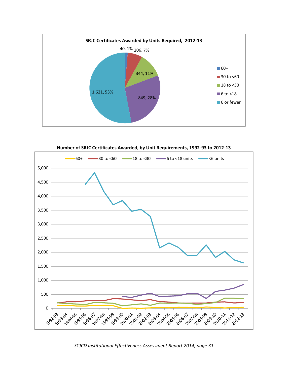

**Number of SRJC Certificates Awarded, by Unit Requirements, 1992‐93 to 2012‐13**



*SCJCD Institutional Effectiveness Assessment Report 2014, page 31*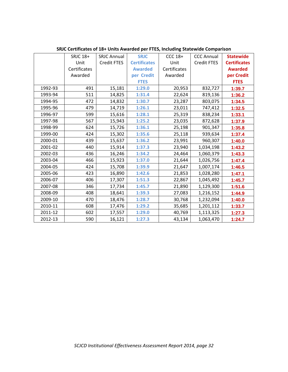|         | SRJC 18+     | <b>SRJC Annual</b> | <b>SRJC</b>         | CCC 18+      | <b>CCC Annual</b> | <b>Statewide</b>    |
|---------|--------------|--------------------|---------------------|--------------|-------------------|---------------------|
|         | Unit         | Credit FTES        | <b>Certificates</b> | Unit         | Credit FTES       | <b>Certificates</b> |
|         | Certificates |                    | <b>Awarded</b>      | Certificates |                   | <b>Awarded</b>      |
|         | Awarded      |                    | per Credit          | Awarded      |                   | per Credit          |
|         |              |                    | <b>FTES</b>         |              |                   | <b>FTES</b>         |
| 1992-93 | 491          | 15,181             | 1:29.0              | 20,953       | 832,727           | 1:39.7              |
| 1993-94 | 511          | 14,825             | 1:31.4              | 22,624       | 819,136           | 1:36.2              |
| 1994-95 | 472          | 14,832             | 1:30.7              | 23,287       | 803,075           | 1:34.5              |
| 1995-96 | 479          | 14,719             | 1:26.1              | 23,011       | 747,412           | 1:32.5              |
| 1996-97 | 599          | 15,616             | 1:28.1              | 25,319       | 838,234           | 1:33.1              |
| 1997-98 | 567          | 15,943             | 1:25.2              | 23,035       | 872,628           | 1:37.9              |
| 1998-99 | 624          | 15,726             | 1:36.1              | 25,198       | 901,347           | 1:35.8              |
| 1999-00 | 424          | 15,302             | 1:35.6              | 25,118       | 939,634           | 1:37.4              |
| 2000-01 | 439          | 15,637             | 1:36.2              | 23,991       | 960,307           | 1:40.0              |
| 2001-02 | 440          | 15,914             | 1:37.3              | 23,940       | 1,034,198         | 1:43.2              |
| 2002-03 | 436          | 16,246             | 1:34.2              | 24,464       | 1,060,379         | 1:43.3              |
| 2003-04 | 466          | 15,923             | 1:37.0              | 21,644       | 1,026,756         | 1:47.4              |
| 2004-05 | 424          | 15,708             | 1:39.9              | 21,647       | 1,007,174         | 1:46.5              |
| 2005-06 | 423          | 16,890             | 1:42.6              | 21,853       | 1,028,280         | 1:47.1              |
| 2006-07 | 406          | 17,307             | 1:51.3              | 22,867       | 1,045,492         | 1:45.7              |
| 2007-08 | 346          | 17,734             | 1:45.7              | 21,890       | 1,129,300         | 1:51.6              |
| 2008-09 | 408          | 18,641             | 1:39.3              | 27,083       | 1,216,152         | 1:44.9              |
| 2009-10 | 470          | 18,476             | 1:28.7              | 30,768       | 1,232,094         | 1:40.0              |
| 2010-11 | 608          | 17,476             | 1:29.2              | 35,685       | 1,201,112         | 1:33.7              |
| 2011-12 | 602          | 17,557             | 1:29.0              | 40,769       | 1,113,325         | 1:27.3              |
| 2012-13 | 590          | 16,121             | 1:27.3              | 43,134       | 1,063,470         | 1:24.7              |

**SRJC Certificates of 18+ Units Awarded per FTES, Including Statewide Comparison**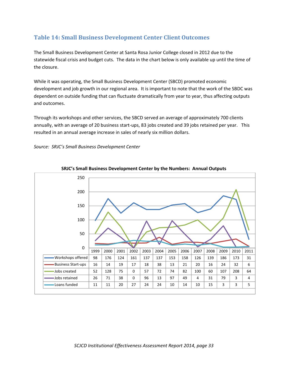# **Table 14: Small Business Development Center Client Outcomes**

The Small Business Development Center at Santa Rosa Junior College closed in 2012 due to the statewide fiscal crisis and budget cuts. The data in the chart below is only available up until the time of the closure.

While it was operating, the Small Business Development Center (SBCD) promoted economic development and job growth in our regional area. It is important to note that the work of the SBDC was dependent on outside funding that can fluctuate dramatically from year to year, thus affecting outputs and outcomes.

Through its workshops and other services, the SBCD served an average of approximately 700 clients annually, with an average of 20 business start‐ups, 83 jobs created and 39 jobs retained per year. This resulted in an annual average increase in sales of nearly six million dollars.

*Source: SRJC's Small Business Development Center*



#### **SRJC's Small Business Development Center by the Numbers: Annual Outputs**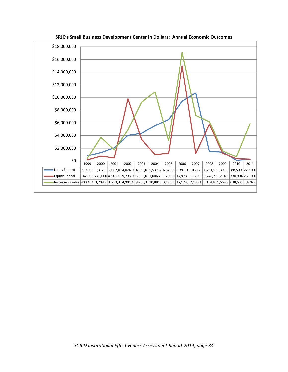

**SRJC's Small Business Development Center in Dollars: Annual Economic Outcomes**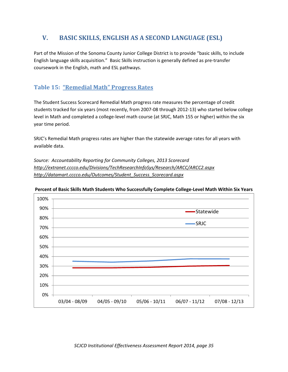# **V. BASIC SKILLS, ENGLISH AS A SECOND LANGUAGE (ESL)**

Part of the Mission of the Sonoma County Junior College District is to provide "basic skills, to include English language skills acquisition." Basic Skills instruction is generally defined as pre‐transfer coursework in the English, math and ESL pathways.

# **Table 15: "Remedial Math" Progress Rates**

The Student Success Scorecard Remedial Math progress rate measures the percentage of credit students tracked for six years (most recently, from 2007‐08 through 2012‐13) who started below college level in Math and completed a college‐level math course (at SRJC, Math 155 or higher) within the six year time period.

SRJC's Remedial Math progress rates are higher than the statewide average rates for all years with available data.

*Source: Accountability Reporting for Community Colleges, 2013 Scorecard http://extranet.cccco.edu/Divisions/TechResearchInfoSys/Research/ARCC/ARCC2.aspx http://datamart.cccco.edu/Outcomes/Student\_Success\_Scorecard.aspx*



#### **Percent of Basic Skills Math Students Who Successfully Complete College‐Level Math Within Six Years**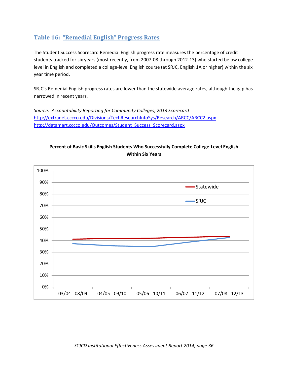### **Table 16: "Remedial English" Progress Rates**

The Student Success Scorecard Remedial English progress rate measures the percentage of credit students tracked for six years (most recently, from 2007‐08 through 2012‐13) who started below college level in English and completed a college‐level English course (at SRJC, English 1A or higher) within the six year time period.

SRJC's Remedial English progress rates are lower than the statewide average rates, although the gap has narrowed in recent years.

*Source: Accountability Reporting for Community Colleges, 2013 Scorecard* http://extranet.cccco.edu/Divisions/TechResearchInfoSys/Research/ARCC/ARCC2.aspx http://datamart.cccco.edu/Outcomes/Student\_Success\_Scorecard.aspx



### **Percent of Basic Skills English Students Who Successfully Complete College‐Level English Within Six Years**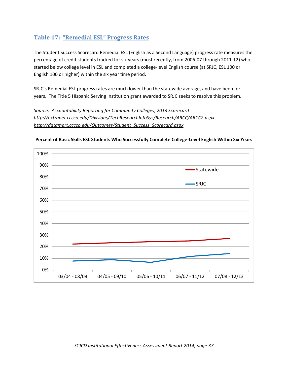### **Table 17: "Remedial ESL" Progress Rates**

The Student Success Scorecard Remedial ESL (English as a Second Language) progress rate measures the percentage of credit students tracked for six years (most recently, from 2006‐07 through 2011‐12) who started below college level in ESL and completed a college‐level English course (at SRJC, ESL 100 or English 100 or higher) within the six year time period.

SRJC's Remedial ESL progress rates are much lower than the statewide average, and have been for years. The Title 5 Hispanic Serving Institution grant awarded to SRJC seeks to resolve this problem.

*Source: Accountability Reporting for Community Colleges, 2013 Scorecard http://extranet.cccco.edu/Divisions/TechResearchInfoSys/Research/ARCC/ARCC2.aspx http://datamart.cccco.edu/Outcomes/Student\_Success\_Scorecard.aspx*



**Percent of Basic Skills ESL Students Who Successfully Complete College‐Level English Within Six Years**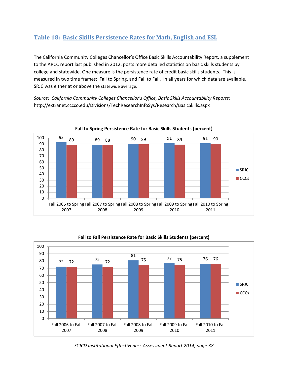# **Table 18: Basic Skills Persistence Rates for Math, English and ESL**

The California Community Colleges Chancellor's Office Basic Skills Accountability Report, a supplement to the ARCC report last published in 2012, posts more detailed statistics on basic skills students by college and statewide. One measure is the persistence rate of credit basic skills students. This is measured in two time frames: Fall to Spring, and Fall to Fall. In all years for which data are available, SRJC was either at or above the statewide average.

*Source: California Community Colleges Chancellor's Office, Basic Skills Accountability Reports:* http://extranet.cccco.edu/Divisions/TechResearchInfoSys/Research/BasicSkills.aspx





**Fall to Fall Persistence Rate for Basic Skills Students (percent)**

*SCJCD Institutional Effectiveness Assessment Report 2014, page 38*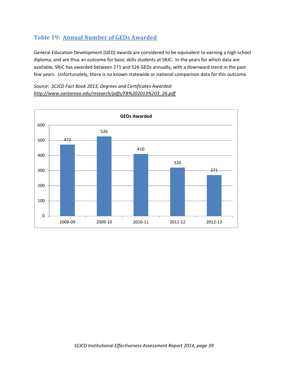# **Table 19: Annual Number of GEDs Awarded**

General Education Development (GED) awards are considered to be equivalent to earning a high school diploma, and are thus an outcome for basic skills students at SRJC. In the years for which data are available, SRJC has awarded between 271 and 526 GEDs annually, with a downward trend in the past few years. Unfortunately, there is no known statewide or national comparison data for this outcome.

*Source: SCJCD Fact Book 2013, Degrees and Certificates Awarded: http://www.santarosa.edu/research/pdfs/FB%202013%203\_26.pdf*

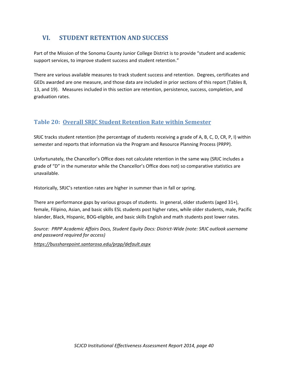# **VI. STUDENT RETENTION AND SUCCESS**

Part of the Mission of the Sonoma County Junior College District is to provide "student and academic support services, to improve student success and student retention."

There are various available measures to track student success and retention. Degrees, certificates and GEDs awarded are one measure, and those data are included in prior sections of this report (Tables 8, 13, and 19). Measures included in this section are retention, persistence, success, completion, and graduation rates.

# **Table 20: Overall SRJC Student Retention Rate within Semester**

SRJC tracks student retention (the percentage of students receiving a grade of A, B, C, D, CR, P, I) within semester and reports that information via the Program and Resource Planning Process (PRPP).

Unfortunately, the Chancellor's Office does not calculate retention in the same way (SRJC includes a grade of "D" in the numerator while the Chancellor's Office does not) so comparative statistics are unavailable.

Historically, SRJC's retention rates are higher in summer than in fall or spring.

There are performance gaps by various groups of students. In general, older students (aged 31+), female, Filipino, Asian, and basic skills ESL students post higher rates, while older students, male, Pacific Islander, Black, Hispanic, BOG‐eligible, and basic skills English and math students post lower rates.

*Source: PRPP Academic Affairs Docs, Student Equity Docs: District‐Wide (note: SRJC outlook username and password required for access)*

*https://bussharepoint.santarosa.edu/prpp/default.aspx*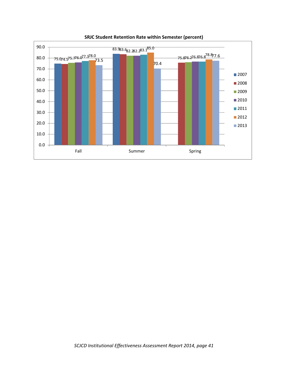

**SRJC Student Retention Rate within Semester (percent)**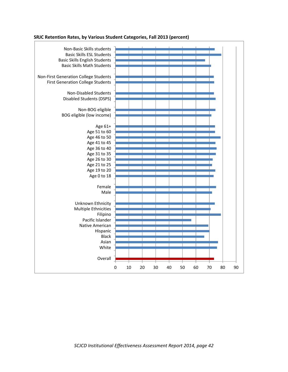

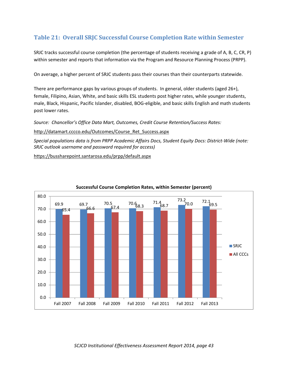## **Table 21: Overall SRJC Successful Course Completion Rate within Semester**

SRJC tracks successful course completion (the percentage of students receiving a grade of A, B, C, CR, P) within semester and reports that information via the Program and Resource Planning Process (PRPP).

On average, a higher percent of SRJC students pass their courses than their counterparts statewide.

There are performance gaps by various groups of students. In general, older students (aged 26+), female, Filipino, Asian, White, and basic skills ESL students post higher rates, while younger students, male, Black, Hispanic, Pacific Islander, disabled, BOG‐eligible, and basic skills English and math students post lower rates.

*Source: Chancellor's Office Data Mart, Outcomes, Credit Course Retention/Success Rates:*

http://datamart.cccco.edu/Outcomes/Course\_Ret\_Success.aspx

*Special populations data is from PRPP Academic Affairs Docs, Student Equity Docs: District‐Wide (note: SRJC outlook username and password required for access)*

https://bussharepoint.santarosa.edu/prpp/default.aspx



#### **Successful Course Completion Rates, within Semester (percent)**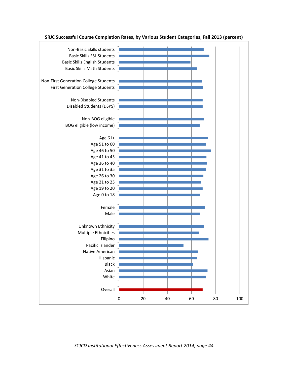

**SRJC Successful Course Completion Rates, by Various Student Categories, Fall 2013 (percent)**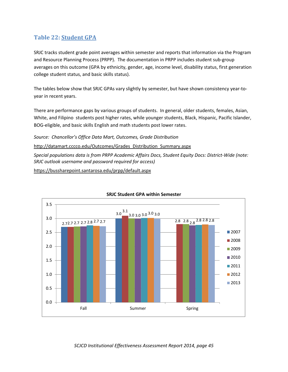## **Table 22: Student GPA**

SRJC tracks student grade point averages within semester and reports that information via the Program and Resource Planning Process (PRPP). The documentation in PRPP includes student sub‐group averages on this outcome (GPA by ethnicity, gender, age, income level, disability status, first generation college student status, and basic skills status).

The tables below show that SRJC GPAs vary slightly by semester, but have shown consistency year-toyear in recent years.

There are performance gaps by various groups of students. In general, older students, females, Asian, White, and Filipino students post higher rates, while younger students, Black, Hispanic, Pacific Islander, BOG‐eligible, and basic skills English and math students post lower rates.

*Source: Chancellor's Office Data Mart, Outcomes, Grade Distribution*

http://datamart.cccco.edu/Outcomes/Grades\_Distribution\_Summary.aspx

*Special populations data is from PRPP Academic Affairs Docs, Student Equity Docs: District‐Wide (note: SRJC outlook username and password required for access)*

https://bussharepoint.santarosa.edu/prpp/default.aspx



#### **SRJC Student GPA within Semester**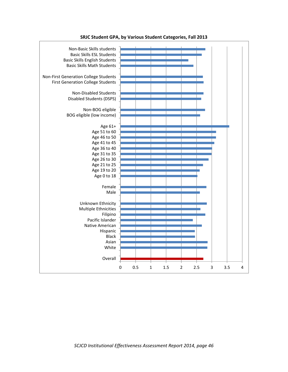

**SRJC Student GPA, by Various Student Categories, Fall 2013**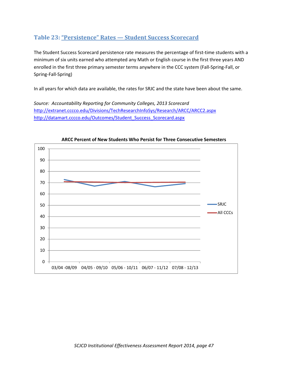### **Table 23: "Persistence" Rates — Student Success Scorecard**

The Student Success Scorecard persistence rate measures the percentage of first-time students with a minimum of six units earned who attempted any Math or English course in the first three years AND enrolled in the first three primary semester terms anywhere in the CCC system (Fall‐Spring‐Fall, or Spring‐Fall‐Spring)

In all years for which data are available, the rates for SRJC and the state have been about the same.

*Source: Accountability Reporting for Community Colleges, 2013 Scorecard* http://extranet.cccco.edu/Divisions/TechResearchInfoSys/Research/ARCC/ARCC2.aspx http://datamart.cccco.edu/Outcomes/Student\_Success\_Scorecard.aspx



**ARCC Percent of New Students Who Persist for Three Consecutive Semesters**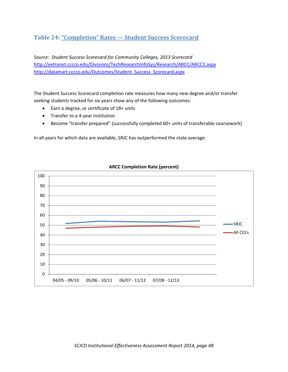### **Table 24: "Completion" Rates — Student Success Scorecard**

*Source: Student Success Scorecard for Community Colleges, 2013 Scorecard* http://extranet.cccco.edu/Divisions/TechResearchInfoSys/Research/ARCC/ARCC2.aspx http://datamart.cccco.edu/Outcomes/Student\_Success\_Scorecard.aspx

The Student Success Scorecard completion rate measures how many new degree and/or transfer seeking students tracked for six years show any of the following outcomes:

- Earn a degree, or certificate of 18+ units
- Transfer to a 4‐year institution
- Become "transfer prepared" (successfully completed 60+ units of transferable coursework)

In all years for which data are available, SRJC has outperformed the state average.



#### **ARCC Completion Rate (percent)**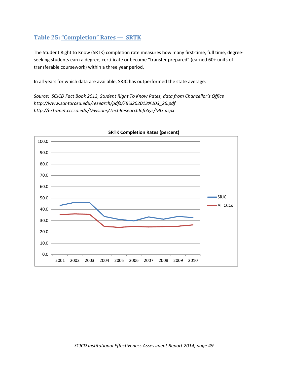## **Table 25: "Completion" Rates — SRTK**

The Student Right to Know (SRTK) completion rate measures how many first-time, full time, degreeseeking students earn a degree, certificate or become "transfer prepared" (earned 60+ units of transferable coursework) within a three year period.

In all years for which data are available, SRJC has outperformed the state average.

*Source: SCJCD Fact Book 2013, Student Right To Know Rates, data from Chancellor's Office http://www.santarosa.edu/research/pdfs/FB%202013%203\_26.pdf http://extranet.cccco.edu/Divisions/TechResearchInfoSys/MIS.aspx*



#### **SRTK Completion Rates (percent)**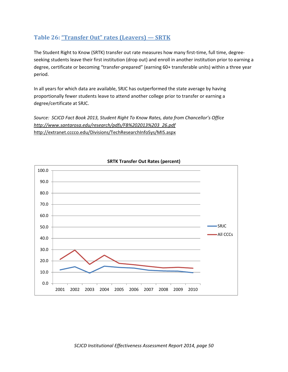## **Table 26: "Transfer Out" rates (Leavers) — SRTK**

The Student Right to Know (SRTK) transfer out rate measures how many first-time, full time, degreeseeking students leave their first institution (drop out) and enroll in another institution prior to earning a degree, certificate or becoming "transfer‐prepared" (earning 60+ transferable units) within a three year period.

In all years for which data are available, SRJC has outperformed the state average by having proportionally fewer students leave to attend another college prior to transfer or earning a degree/certificate at SRJC.

*Source: SCJCD Fact Book 2013, Student Right To Know Rates, data from Chancellor's Office http://www.santarosa.edu/research/pdfs/FB%202013%203\_26.pdf* http://extranet.cccco.edu/Divisions/TechResearchInfoSys/MIS.aspx



### **SRTK Transfer Out Rates (percent)**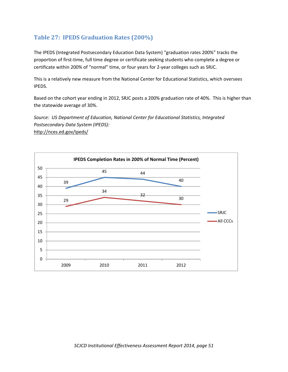# **Table 27: IPEDS Graduation Rates (200%)**

The IPEDS (Integrated Postsecondary Education Data System) "graduation rates 200%" tracks the proportion of first-time, full time degree or certificate seeking students who complete a degree or certificate within 200% of "normal" time, or four years for 2‐year colleges such as SRJC.

This is a relatively new measure from the National Center for Educational Statistics, which oversees IPEDS.

Based on the cohort year ending in 2012, SRJC posts a 200% graduation rate of 40%. This is higher than the statewide average of 30%.

*Source: US Department of Education, National Center for Educational Statistics, Integrated Postsecondary Data System (IPEDS):* http://nces.ed.gov/ipeds/

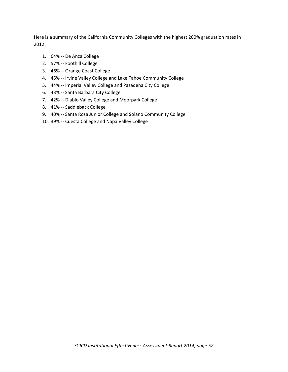Here is a summary of the California Community Colleges with the highest 200% graduation rates in 2012:

- 1. 64% ‐‐ De Anza College
- 2. 57% ‐‐ Foothill College
- 3. 46% ‐‐ Orange Coast College
- 4. 45% ‐‐ Irvine Valley College and Lake Tahoe Community College
- 5. 44% ‐‐ Imperial Valley College and Pasadena City College
- 6. 43% ‐‐ Santa Barbara City College
- 7. 42% ‐‐ Diablo Valley College and Moorpark College
- 8. 41% ‐‐ Saddleback College
- 9. 40% -- Santa Rosa Junior College and Solano Community College
- 10. 39% -- Cuesta College and Napa Valley College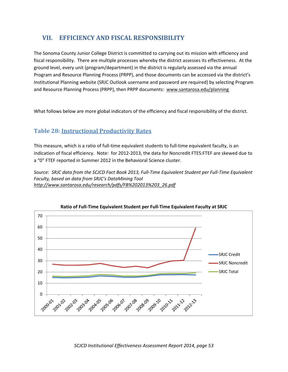# **VII. EFFICIENCY AND FISCAL RESPONSIBILITY**

The Sonoma County Junior College District is committed to carrying out its mission with efficiency and fiscal responsibility. There are multiple processes whereby the district assesses its effectiveness. At the ground level, every unit (program/department) in the district is regularly assessed via the annual Program and Resource Planning Process (PRPP), and those documents can be accessed via the district's Institutional Planning website (SRJC Outlook username and password are required) by selecting Program and Resource Planning Process (PRPP), then PRPP documents: www.santarosa.edu/planning

What follows below are more global indicators of the efficiency and fiscal responsibility of the district.

### **Table 28: Instructional Productivity Rates**

This measure, which is a ratio of full‐time equivalent students to full‐time equivalent faculty, is an indication of fiscal efficiency. Note: for 2012‐2013, the data for Noncredit FTES:FTEF are skewed due to a "0" FTEF reported in Summer 2012 in the Behavioral Science cluster.

Source: SRJC data from the SCJCD Fact Book 2013, Full-Time Equivalent Student per Full-Time Equivalent *Faculty, based on data from SRJC's DataMining Tool http://www.santarosa.edu/research/pdfs/FB%202013%203\_26.pdf*



#### **Ratio of Full‐Time Equivalent Student per Full‐Time Equivalent Faculty at SRJC**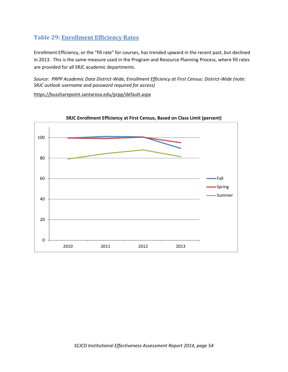# **Table 29: Enrollment Efficiency Rates**

Enrollment Efficiency, or the "fill rate" for courses, has trended upward in the recent past, but declined in 2013. This is the same measure used in the Program and Resource Planning Process, where fill rates are provided for all SRJC academic departments.

*Source: PRPP Academic Data District‐Wide, Enrollment Efficiency at First Census: District‐Wide (note: SRJC outlook username and password required for access)*

https://bussharepoint.santarosa.edu/prpp/default.aspx



**SRJC Enrollment Efficiency at First Census, Based on Class Limit (percent)**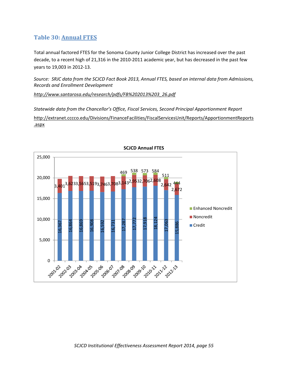## **Table 30: Annual FTES**

Total annual factored FTES for the Sonoma County Junior College District has increased over the past decade, to a recent high of 21,316 in the 2010-2011 academic year, but has decreased in the past few years to 19,003 in 2012‐13.

Source: SRJC data from the SCJCD Fact Book 2013, Annual FTES, based on internal data from Admissions, *Records and Enrollment Development*

*http://www.santarosa.edu/research/pdfs/FB%202013%203\_26.pdf*

*Statewide data from the Chancellor's Office, Fiscal Services, Second Principal Apportionment Report* http://extranet.cccco.edu/Divisions/FinanceFacilities/FiscalServicesUnit/Reports/ApportionmentReports .aspx



**SCJCD Annual FTES**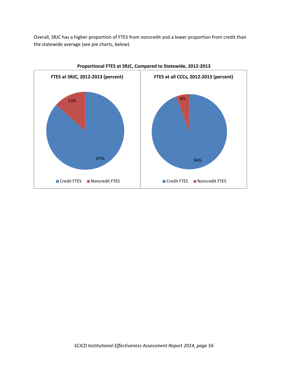Overall, SRJC has a higher proportion of FTES from noncredit and a lower proportion from credit than the statewide average (see pie charts, below).



**Proportional FTES at SRJC, Compared to Statewide, 2012‐2013**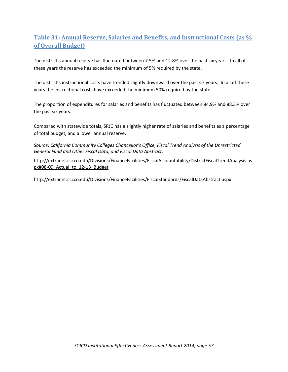# **Table 31: Annual Reserve, Salaries and Benefits, and Instructional Costs (as % of Overall Budget)**

The district's annual reserve has fluctuated between 7.5% and 12.8% over the past six years. In all of these years the reserve has exceeded the minimum of 5% required by the state.

The district's instructional costs have trended slightly downward over the past six years. In all of these years the instructional costs have exceeded the minimum 50% required by the state.

The proportion of expenditures for salaries and benefits has fluctuated between 84.9% and 88.3% over the past six years.

Compared with statewide totals, SRJC has a slightly higher rate of salaries and benefits as a percentage of total budget, and a lower annual reserve.

*Source: California Community Colleges Chancellor's Office, Fiscal Trend Analysis of the Unrestricted General Fund and Other Fiscal Data, and Fiscal Data Abstract:*

http://extranet.cccco.edu/Divisions/FinanceFacilities/FiscalAccountability/DistrictFiscalTrendAnalysis.as px#08-09 Actual to 12-13 Budget

http://extranet.cccco.edu/Divisions/FinanceFacilities/FiscalStandards/FiscalDataAbstract.aspx